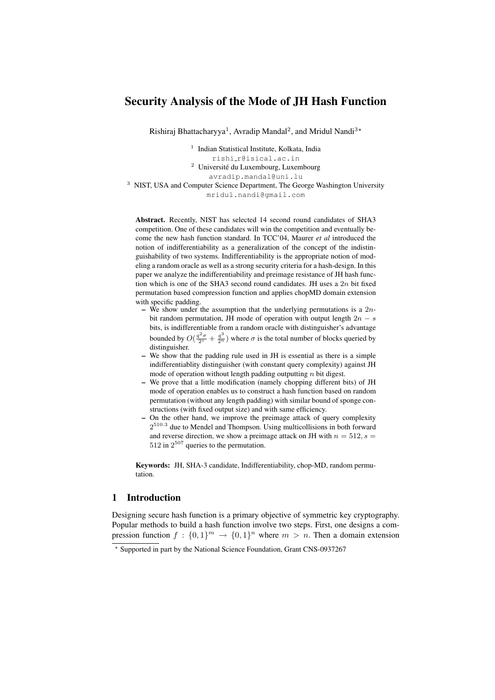## Security Analysis of the Mode of JH Hash Function

Rishiraj Bhattacharyya<sup>1</sup>, Avradip Mandal<sup>2</sup>, and Mridul Nandi<sup>3\*</sup>

<sup>1</sup> Indian Statistical Institute, Kolkata, India

rishi r@isical.ac.in

<sup>2</sup> Université du Luxembourg, Luxembourg

avradip.mandal@uni.lu

<sup>3</sup> NIST, USA and Computer Science Department, The George Washington University mridul.nandi@gmail.com

Abstract. Recently, NIST has selected 14 second round candidates of SHA3 competition. One of these candidates will win the competition and eventually become the new hash function standard. In TCC'04, Maurer *et al* introduced the notion of indifferentiability as a generalization of the concept of the indistinguishability of two systems. Indifferentiability is the appropriate notion of modeling a random oracle as well as a strong security criteria for a hash-design. In this paper we analyze the indifferentiability and preimage resistance of JH hash function which is one of the SHA3 second round candidates. JH uses a  $2n$  bit fixed permutation based compression function and applies chopMD domain extension with specific padding.

- We show under the assumption that the underlying permutations is a  $2n$ bit random permutation, JH mode of operation with output length  $2n - s$ bits, is indifferentiable from a random oracle with distinguisher's advantage bounded by  $O(\frac{q^2\sigma}{2^s} + \frac{q^3}{2^n})$  where  $\sigma$  is the total number of blocks queried by distinguisher.
- We show that the padding rule used in JH is essential as there is a simple indifferentiablity distinguisher (with constant query complexity) against JH mode of operation without length padding outputting  $n$  bit digest.
- We prove that a little modification (namely chopping different bits) of JH mode of operation enables us to construct a hash function based on random permutation (without any length padding) with similar bound of sponge constructions (with fixed output size) and with same efficiency.
- On the other hand, we improve the preimage attack of query complexity  $2^{510.3}$  due to Mendel and Thompson. Using multicollisions in both forward and reverse direction, we show a preimage attack on JH with  $n = 512$ ,  $s =$  $512$  in  $2^{507}$  queries to the permutation.

Keywords: JH, SHA-3 candidate, Indifferentiability, chop-MD, random permutation.

## 1 Introduction

Designing secure hash function is a primary objective of symmetric key cryptography. Popular methods to build a hash function involve two steps. First, one designs a compression function  $f: \{0,1\}^m \to \{0,1\}^n$  where  $m > n$ . Then a domain extension

<sup>?</sup> Supported in part by the National Science Foundation, Grant CNS-0937267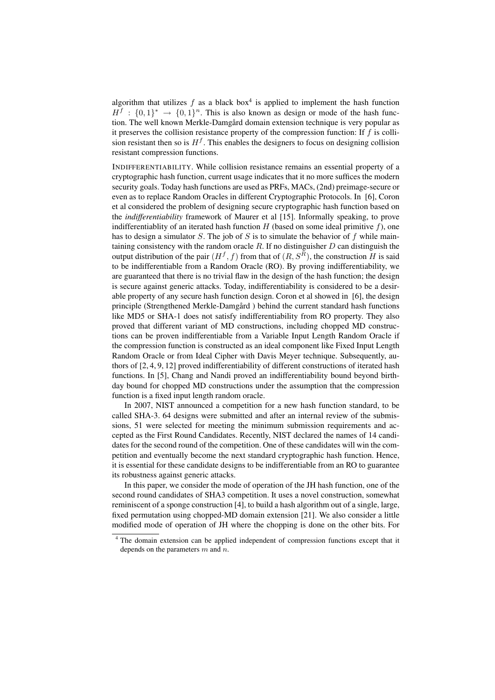algorithm that utilizes  $f$  as a black box<sup>4</sup> is applied to implement the hash function  $H^f : \{0,1\}^* \to \{0,1\}^n$ . This is also known as design or mode of the hash function. The well known Merkle-Damgård domain extension technique is very popular as it preserves the collision resistance property of the compression function: If  $f$  is collision resistant then so is  $H<sup>f</sup>$ . This enables the designers to focus on designing collision resistant compression functions.

INDIFFERENTIABILITY. While collision resistance remains an essential property of a cryptographic hash function, current usage indicates that it no more suffices the modern security goals. Today hash functions are used as PRFs, MACs, (2nd) preimage-secure or even as to replace Random Oracles in different Cryptographic Protocols. In [6], Coron et al considered the problem of designing secure cryptographic hash function based on the *indifferentiability* framework of Maurer et al [15]. Informally speaking, to prove indifferentiablity of an iterated hash function  $H$  (based on some ideal primitive  $f$ ), one has to design a simulator  $S$ . The job of  $S$  is to simulate the behavior of  $f$  while maintaining consistency with the random oracle  $R$ . If no distinguisher  $D$  can distinguish the output distribution of the pair  $(H^f, f)$  from that of  $(R, S^R)$ , the construction H is said to be indifferentiable from a Random Oracle (RO). By proving indifferentiability, we are guaranteed that there is no trivial flaw in the design of the hash function; the design is secure against generic attacks. Today, indifferentiability is considered to be a desirable property of any secure hash function design. Coron et al showed in [6], the design principle (Strengthened Merkle-Damgård) behind the current standard hash functions like MD5 or SHA-1 does not satisfy indifferentiability from RO property. They also proved that different variant of MD constructions, including chopped MD constructions can be proven indifferentiable from a Variable Input Length Random Oracle if the compression function is constructed as an ideal component like Fixed Input Length Random Oracle or from Ideal Cipher with Davis Meyer technique. Subsequently, authors of [2, 4, 9, 12] proved indifferentiability of different constructions of iterated hash functions. In [5], Chang and Nandi proved an indifferentiability bound beyond birthday bound for chopped MD constructions under the assumption that the compression function is a fixed input length random oracle.

In 2007, NIST announced a competition for a new hash function standard, to be called SHA-3. 64 designs were submitted and after an internal review of the submissions, 51 were selected for meeting the minimum submission requirements and accepted as the First Round Candidates. Recently, NIST declared the names of 14 candidates for the second round of the competition. One of these candidates will win the competition and eventually become the next standard cryptographic hash function. Hence, it is essential for these candidate designs to be indifferentiable from an RO to guarantee its robustness against generic attacks.

In this paper, we consider the mode of operation of the JH hash function, one of the second round candidates of SHA3 competition. It uses a novel construction, somewhat reminiscent of a sponge construction [4], to build a hash algorithm out of a single, large, fixed permutation using chopped-MD domain extension [21]. We also consider a little modified mode of operation of JH where the chopping is done on the other bits. For

<sup>4</sup> The domain extension can be applied independent of compression functions except that it depends on the parameters  $m$  and  $n$ .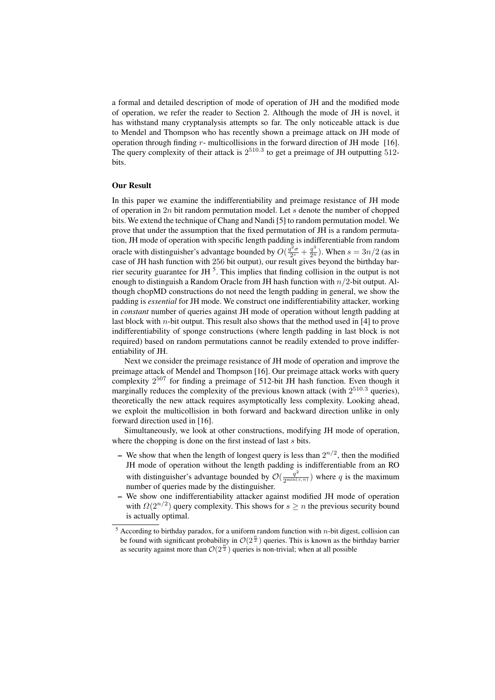a formal and detailed description of mode of operation of JH and the modified mode of operation, we refer the reader to Section 2. Although the mode of JH is novel, it has withstand many cryptanalysis attempts so far. The only noticeable attack is due to Mendel and Thompson who has recently shown a preimage attack on JH mode of operation through finding  $r$ - multicollisions in the forward direction of JH mode [16]. The query complexity of their attack is  $2^{510.3}$  to get a preimage of JH outputting 512bits.

#### Our Result

In this paper we examine the indifferentiability and preimage resistance of JH mode of operation in  $2n$  bit random permutation model. Let s denote the number of chopped bits. We extend the technique of Chang and Nandi [5] to random permutation model. We prove that under the assumption that the fixed permutation of JH is a random permutation, JH mode of operation with specific length padding is indifferentiable from random oracle with distinguisher's advantage bounded by  $O(\frac{q^2\sigma}{2^s} + \frac{q^3}{2^n})$ . When  $s = 3n/2$  (as in case of JH hash function with 256 bit output), our result gives beyond the birthday barrier security guarantee for JH $<sup>5</sup>$ . This implies that finding collision in the output is not</sup> enough to distinguish a Random Oracle from JH hash function with  $n/2$ -bit output. Although chopMD constructions do not need the length padding in general, we show the padding is *essential* for JH mode. We construct one indifferentiability attacker, working in *constant* number of queries against JH mode of operation without length padding at last block with  $n$ -bit output. This result also shows that the method used in [4] to prove indifferentiability of sponge constructions (where length padding in last block is not required) based on random permutations cannot be readily extended to prove indifferentiability of JH.

Next we consider the preimage resistance of JH mode of operation and improve the preimage attack of Mendel and Thompson [16]. Our preimage attack works with query complexity 2 <sup>507</sup> for finding a preimage of 512-bit JH hash function. Even though it marginally reduces the complexity of the previous known attack (with  $2^{510.3}$  queries), theoretically the new attack requires asymptotically less complexity. Looking ahead, we exploit the multicollision in both forward and backward direction unlike in only forward direction used in [16].

Simultaneously, we look at other constructions, modifying JH mode of operation, where the chopping is done on the first instead of last  $s$  bits.

- We show that when the length of longest query is less than  $2^{n/2}$ , then the modified JH mode of operation without the length padding is indifferentiable from an RO with distinguisher's advantage bounded by  $\mathcal{O}(\frac{q^2}{2^{\min(s,n)}})$  where q is the maximum number of queries made by the distinguisher.
- We show one indifferentiability attacker against modified JH mode of operation with  $\Omega(2^{n/2})$  query complexity. This shows for  $s \geq n$  the previous security bound is actually optimal.

 $5$  According to birthday paradox, for a uniform random function with *n*-bit digest, collision can be found with significant probability in  $\mathcal{O}(2^{\frac{n}{2}})$  queries. This is known as the birthday barrier as security against more than  $\mathcal{O}(2^{\frac{n}{2}})$  queries is non-trivial; when at all possible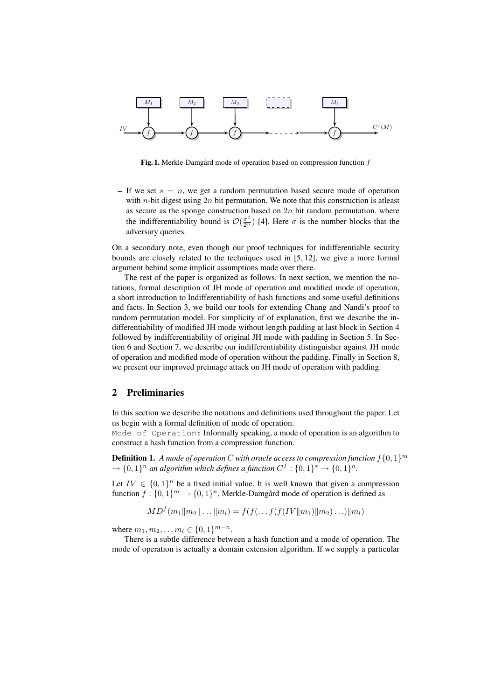

Fig. 1. Merkle-Damgård mode of operation based on compression function  $f$ 

– If we set  $s = n$ , we get a random permutation based secure mode of operation with *n*-bit digest using 2*n* bit permutation. We note that this construction is at least as secure as the sponge construction based on  $2n$  bit random permutation. where the indifferentiability bound is  $\mathcal{O}(\frac{\sigma^2}{2^n})$  [4]. Here  $\sigma$  is the number blocks that the adversary queries.

On a secondary note, even though our proof techniques for indifferentiable security bounds are closely related to the techniques used in [5, 12], we give a more formal argument behind some implicit assumptions made over there.

The rest of the paper is organized as follows. In next section, we mention the notations, formal description of JH mode of operation and modified mode of operation, a short introduction to Indifferentiability of hash functions and some useful definitions and facts. In Section 3, we build our tools for extending Chang and Nandi's proof to random permutation model. For simplicity of of explanation, first we describe the indifferentiability of modified JH mode without length padding at last block in Section 4 followed by indifferentiability of original JH mode with padding in Section 5. In Section 6 and Section 7, we describe our indifferentiability distinguisher against JH mode of operation and modified mode of operation without the padding. Finally in Section 8, we present our improved preimage attack on JH mode of operation with padding.

## 2 Preliminaries

In this section we describe the notations and definitions used throughout the paper. Let us begin with a formal definition of mode of operation.

Mode of Operation: Informally speaking, a mode of operation is an algorithm to construct a hash function from a compression function.

**Definition 1.** A mode of operation C with oracle access to compression function  $f\{0,1\}^m$  $\rightarrow$  {0, 1}<sup>n</sup> an algorithm which defines a function  $C^f$  : {0, 1}<sup>\*</sup>  $\rightarrow$  {0, 1}<sup>n</sup>.

Let  $IV \in \{0,1\}^n$  be a fixed initial value. It is well known that given a compression function  $f: \{0,1\}^m \to \{0,1\}^n$ , Merkle-Damgård mode of operation is defined as

$$
MD^{f}(m_1||m_2||...||m_l) = f(f(...f(f(IV||m_1)||m_2)...)||m_l)
$$

where  $m_1, m_2, \ldots m_l \in \{0, 1\}^{m - n}$ .

There is a subtle difference between a hash function and a mode of operation. The mode of operation is actually a domain extension algorithm. If we supply a particular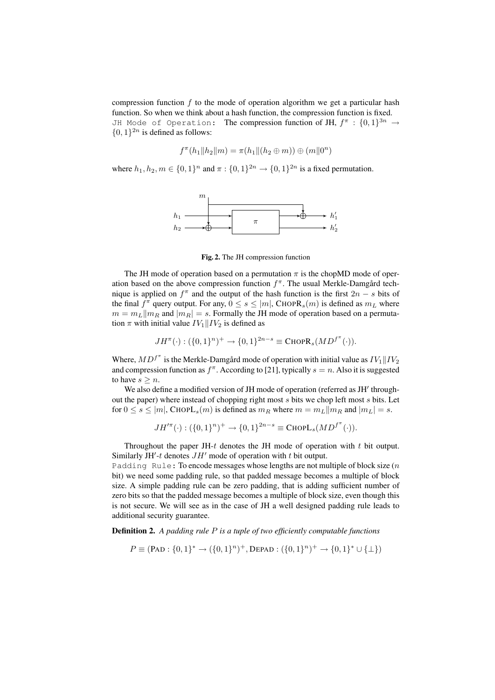compression function  $f$  to the mode of operation algorithm we get a particular hash function. So when we think about a hash function, the compression function is fixed. JH Mode of Operation: The compression function of JH,  $f^\pi$  :  $\{0,1\}^{3n}$   $\rightarrow$  $\{0, 1\}^{2n}$  is defined as follows:

$$
f^{\pi}(h_1 \| h_2 \| m) = \pi(h_1 \| (h_2 \oplus m)) \oplus (m \| 0^n)
$$

where  $h_1, h_2, m \in \{0, 1\}^n$  and  $\pi : \{0, 1\}^{2n} \to \{0, 1\}^{2n}$  is a fixed permutation.



Fig. 2. The JH compression function

The JH mode of operation based on a permutation  $\pi$  is the chopMD mode of operation based on the above compression function  $f^{\pi}$ . The usual Merkle-Damgård technique is applied on  $f^{\pi}$  and the output of the hash function is the first  $2n - s$  bits of the final  $f^{\pi}$  query output. For any,  $0 \le s \le |m|$ , CHOP $\mathbb{R}_{s}(m)$  is defined as  $m_{L}$  where  $m = m_L ||m_R$  and  $|m_R| = s$ . Formally the JH mode of operation based on a permutation  $\pi$  with initial value  $IV_1||IV_2$  is defined as

$$
JH^{\pi}(\cdot): (\{0,1\}^n)^+ \to \{0,1\}^{2n-s} \equiv \text{CHOPR}_s(MD^{f^{\pi}}(\cdot)).
$$

Where,  $MD^{f^{\pi}}$  is the Merkle-Damgård mode of operation with initial value as  $IV_1\|IV_2$ and compression function as  $f^{\pi}$ . According to [21], typically  $s = n$ . Also it is suggested to have  $s > n$ .

We also define a modified version of JH mode of operation (referred as JH' throughout the paper) where instead of chopping right most s bits we chop left most s bits. Let for  $0 \le s \le |m|$ , CHOPL<sub>s</sub> $(m)$  is defined as  $m_R$  where  $m = m_L || m_R$  and  $|m_L| = s$ .

$$
JH'^\pi(\cdot):(\{0,1\}^n)^+\rightarrow \{0,1\}^{2n-s}\equiv \mathbf{C}\mathrm{HOPL}_{s}(MD^{f^\pi}(\cdot)).
$$

Throughout the paper JH- $t$  denotes the JH mode of operation with  $t$  bit output. Similarly JH'-t denotes  $JH'$  mode of operation with t bit output.

Padding Rule: To encode messages whose lengths are not multiple of block size  $(n)$ bit) we need some padding rule, so that padded message becomes a multiple of block size. A simple padding rule can be zero padding, that is adding sufficient number of zero bits so that the padded message becomes a multiple of block size, even though this is not secure. We will see as in the case of JH a well designed padding rule leads to additional security guarantee.

Definition 2. *A padding rule* P *is a tuple of two efficiently computable functions*

$$
P \equiv (\text{PAD}: \{0, 1\}^* \rightarrow (\{0, 1\}^n)^+, \text{DEPAD}: (\{0, 1\}^n)^+ \rightarrow \{0, 1\}^* \cup \{\perp\})
$$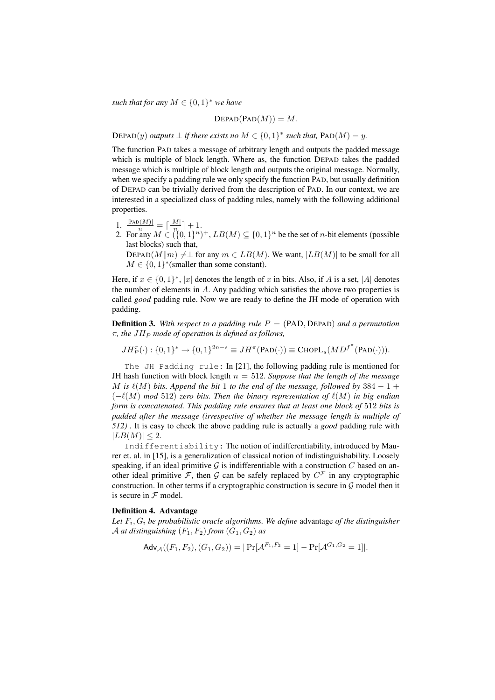*such that for any*  $M \in \{0, 1\}^*$  *we have* 

$$
\text{DEPAD}(\text{PAD}(M)) = M.
$$

DEPAD(y) *outputs*  $\perp$  *if there exists no*  $M \in \{0,1\}^*$  *such that,*  $PAD(M) = y$ *.* 

The function PAD takes a message of arbitrary length and outputs the padded message which is multiple of block length. Where as, the function DEPAD takes the padded message which is multiple of block length and outputs the original message. Normally, when we specify a padding rule we only specify the function PAD, but usually definition of DEPAD can be trivially derived from the description of PAD. In our context, we are interested in a specialized class of padding rules, namely with the following additional properties.

- 1.  $\frac{|\text{PAD}(M)|}{n} = \lceil \frac{|M|}{n} \rceil$  $\frac{M|}{n}$  + 1.
- 2. For any  $M \in (\{0,1\}^n)^+$ ,  $LB(M) \subseteq \{0,1\}^n$  be the set of *n*-bit elements (possible last blocks) such that,

DEPAD $(M||m) \neq \perp$  for any  $m \in LB(M)$ . We want,  $|LB(M)|$  to be small for all  $M \in \{0, 1\}^*$  (smaller than some constant).

Here, if  $x \in \{0,1\}^*$ , |x| denotes the length of x in bits. Also, if A is a set, |A| denotes the number of elements in  $A$ . Any padding which satisfies the above two properties is called *good* padding rule. Now we are ready to define the JH mode of operation with padding.

**Definition 3.** With respect to a padding rule  $P = (PAD, DEPAD)$  and a permutation  $\pi$ , the  $JH_P$  mode of operation is defined as follows.

 $JH_P^{\pi}(\cdot): \{0,1\}^* \to \{0,1\}^{2n-s} \equiv JH^{\pi}(\text{PAD}(\cdot)) \equiv \text{CHOPL}_s(MD^{f^{\pi}}(\text{PAD}(\cdot))).$ 

The JH Padding rule: In [21], the following padding rule is mentioned for JH hash function with block length  $n = 512$ . *Suppose that the length of the message* M is  $\ell(M)$  bits. Append the bit 1 to the end of the message, followed by 384  $-1 +$  $(-\ell(M) \mod 512)$  *zero bits. Then the binary representation of*  $\ell(M)$  *in big endian form is concatenated. This padding rule ensures that at least one block of* 512 *bits is padded after the message (irrespective of whether the message length is multiple of 512) .* It is easy to check the above padding rule is actually a *good* padding rule with  $|LB(M)| \leq 2.$ 

Indifferentiability: The notion of indifferentiability, introduced by Maurer et. al. in [15], is a generalization of classical notion of indistinguishability. Loosely speaking, if an ideal primitive  $G$  is indifferentiable with a construction C based on another ideal primitive F, then G can be safely replaced by  $C^{\mathcal{F}}$  in any cryptographic construction. In other terms if a cryptographic construction is secure in  $\mathcal G$  model then it is secure in  ${\mathcal F}$  model.

#### Definition 4. Advantage

*Let* F<sup>i</sup> , G<sup>i</sup> *be probabilistic oracle algorithms. We define* advantage *of the distinguisher* A *at distinguishing*  $(F_1, F_2)$  *from*  $(G_1, G_2)$  *as* 

$$
\mathsf{Adv}_{\mathcal{A}}((F_1, F_2), (G_1, G_2)) = |\Pr[\mathcal{A}^{F_1, F_2} = 1] - \Pr[\mathcal{A}^{G_1, G_2} = 1]|.
$$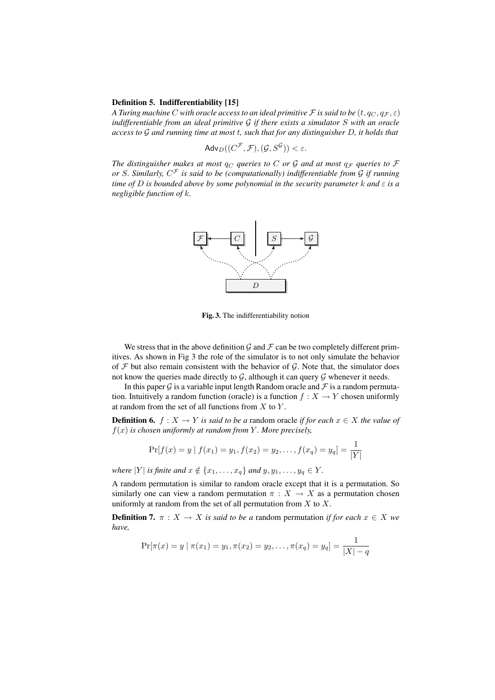#### Definition 5. Indifferentiability [15]

*A Turing machine C* with oracle access to an ideal primitive *F* is said to be  $(t, q_C, q_F, \varepsilon)$ *indifferentiable from an ideal primitive* G *if there exists a simulator* S *with an oracle access to* G *and running time at most* t*, such that for any distinguisher* D*, it holds that*

$$
\mathsf{Adv}_D((C^\mathcal{F}, \mathcal{F}), (\mathcal{G}, S^\mathcal{G})) < \varepsilon.
$$

*The distinguisher makes at most*  $q_C$  *queries to* C *or* G *and at most*  $q_F$  *queries to* F *or* S*. Similarly,* C <sup>F</sup> *is said to be (computationally) indifferentiable from* G *if running time of* D *is bounded above by some polynomial in the security parameter* k *and* ε *is a negligible function of* k*.*



Fig. 3. The indifferentiability notion

We stress that in the above definition  $\mathcal G$  and  $\mathcal F$  can be two completely different primitives. As shown in Fig 3 the role of the simulator is to not only simulate the behavior of  $F$  but also remain consistent with the behavior of  $G$ . Note that, the simulator does not know the queries made directly to  $G$ , although it can query  $G$  whenever it needs.

In this paper  $\mathcal G$  is a variable input length Random oracle and  $\mathcal F$  is a random permutation. Intuitively a random function (oracle) is a function  $f : X \to Y$  chosen uniformly at random from the set of all functions from  $X$  to  $Y$ .

**Definition 6.**  $f: X \to Y$  *is said to be a* random oracle *if for each*  $x \in X$  *the value of*  $f(x)$  *is chosen uniformly at random from* Y. More precisely,

$$
\Pr[f(x) = y \mid f(x_1) = y_1, f(x_2) = y_2, \dots, f(x_q) = y_q] = \frac{1}{|Y|}
$$

*where*  $|Y|$  *is finite and*  $x \notin \{x_1, \ldots, x_q\}$  *and*  $y, y_1, \ldots, y_q \in Y$ *.* 

A random permutation is similar to random oracle except that it is a permutation. So similarly one can view a random permutation  $\pi : X \to X$  as a permutation chosen uniformly at random from the set of all permutation from  $X$  to  $X$ .

**Definition 7.**  $\pi$  :  $X \to X$  *is said to be a* random permutation *if for each*  $x \in X$  *we have,*

$$
\Pr[\pi(x) = y \mid \pi(x_1) = y_1, \pi(x_2) = y_2, \dots, \pi(x_q) = y_q] = \frac{1}{|X| - q}
$$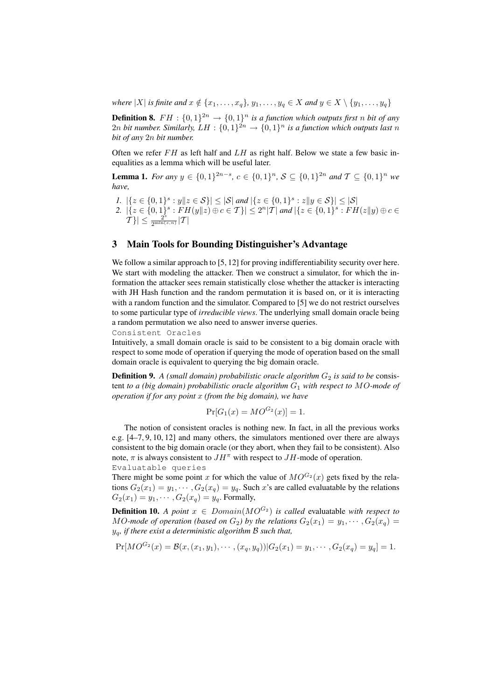*where*  $|X|$  *is finite and*  $x \notin \{x_1, \ldots, x_q\}$ ,  $y_1, \ldots, y_q \in X$  *and*  $y \in X \setminus \{y_1, \ldots, y_q\}$ 

**Definition 8.**  $FH : \{0,1\}^{2n} \rightarrow \{0,1\}^n$  is a function which outputs first n bit of any 2n bit number. Similarly,  $LH: \{0,1\}^{2n} \rightarrow \{0,1\}^n$  is a function which outputs last n *bit of any* 2n *bit number.*

Often we refer  $FH$  as left half and  $LH$  as right half. Below we state a few basic inequalities as a lemma which will be useful later.

**Lemma 1.** *For any*  $y \in \{0, 1\}^{2n-s}, c \in \{0, 1\}^n$ ,  $S \subseteq \{0, 1\}^{2n}$  *and*  $T \subseteq \{0, 1\}^n$  *we have,*

- *1.*  $|\{z \in \{0,1\}^s : y||z \in S\}| \leq |\mathcal{S}|$  *and*  $|\{z \in \{0,1\}^s : z||y \in S\}| \leq |\mathcal{S}|$
- 2.  $|\{z \in \{0,1\}^s : FH(y||z) \oplus c \in \mathcal{T}\}| \leq 2^n |T|$  and  $|\{z \in \{0,1\}^s : FH(z||y) \oplus c \in \mathcal{T}\}|$  $|\mathcal{T}| \leq \frac{2^s}{2^{\min(s)}}$  $\frac{2^{\circ}}{2^{\min(s,n)}}|\mathcal{T}|$

## 3 Main Tools for Bounding Distinguisher's Advantage

We follow a similar approach to [5, 12] for proving indifferentiability security over here. We start with modeling the attacker. Then we construct a simulator, for which the information the attacker sees remain statistically close whether the attacker is interacting with JH Hash function and the random permutation it is based on, or it is interacting with a random function and the simulator. Compared to [5] we do not restrict ourselves to some particular type of *irreducible views*. The underlying small domain oracle being a random permutation we also need to answer inverse queries.

Consistent Oracles

Intuitively, a small domain oracle is said to be consistent to a big domain oracle with respect to some mode of operation if querying the mode of operation based on the small domain oracle is equivalent to querying the big domain oracle.

**Definition 9.** A (small domain) probabilistic oracle algorithm  $G_2$  is said to be consistent *to a (big domain) probabilistic oracle algorithm* G<sup>1</sup> *with respect to* MO*-mode of operation if for any point* x *(from the big domain), we have*

$$
Pr[G_1(x) = MO^{G_2}(x)] = 1.
$$

The notion of consistent oracles is nothing new. In fact, in all the previous works e.g. [4–7, 9, 10, 12] and many others, the simulators mentioned over there are always consistent to the big domain oracle (or they abort, when they fail to be consistent). Also note,  $\pi$  is always consistent to  $JH^{\pi}$  with respect to  $JH$ -mode of operation. Evaluatable queries

There might be some point x for which the value of  $MO^{G_2}(x)$  gets fixed by the relations  $G_2(x_1) = y_1, \cdots, G_2(x_q) = y_q$ . Such x's are called evaluatable by the relations  $G_2(x_1) = y_1, \cdots, G_2(x_q) = y_q$ . Formally,

**Definition 10.** *A point*  $x \in Domain(MO^{G_2})$  *is called* evaluatable *with respect to* MO-mode of operation (based on  $G_2$ ) by the relations  $G_2(x_1) = y_1, \cdots, G_2(x_q) =$ yq*, if there exist a deterministic algorithm* B *such that,*

$$
Pr[MO^{G_2}(x) = \mathcal{B}(x, (x_1, y_1), \cdots, (x_q, y_q))|G_2(x_1) = y_1, \cdots, G_2(x_q) = y_q] = 1.
$$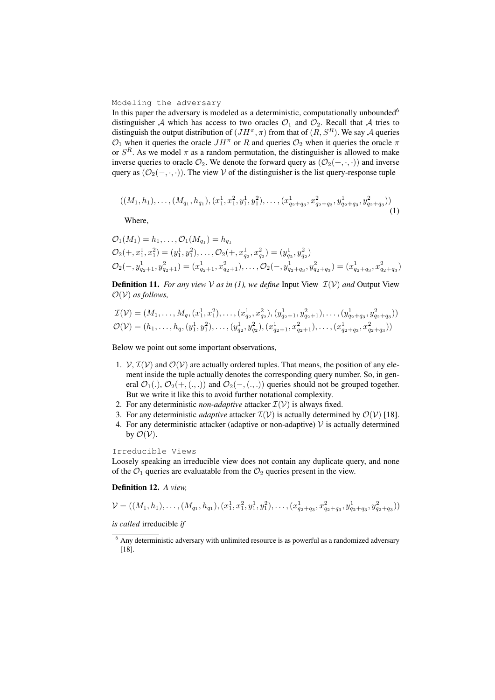#### Modeling the adversary

In this paper the adversary is modeled as a deterministic, computationally unbounded $6$ distinguisher A which has access to two oracles  $\mathcal{O}_1$  and  $\mathcal{O}_2$ . Recall that A tries to distinguish the output distribution of  $(JH^{\pi}, \pi)$  from that of  $(R, S^R)$ . We say A queries  $\mathcal{O}_1$  when it queries the oracle  $JH^{\pi}$  or R and queries  $\mathcal{O}_2$  when it queries the oracle  $\pi$ or  $S<sup>R</sup>$ . As we model  $\pi$  as a random permutation, the distinguisher is allowed to make inverse queries to oracle  $\mathcal{O}_2$ . We denote the forward query as  $(\mathcal{O}_2(+, \cdot, \cdot))$  and inverse query as  $(\mathcal{O}_2(-, \cdot, \cdot))$ . The view V of the distinguisher is the list query-response tuple

$$
((M_1,h_1),\ldots,(M_{q_1},h_{q_1}),(x_1^1,x_1^2,y_1^1,y_1^2),\ldots,(x_{q_2+q_3}^1,x_{q_2+q_3}^2,y_{q_2+q_3}^1,y_{q_2+q_3}^2))
$$
\n(1)

Where,

$$
O_1(M_1) = h_1, ..., O_1(M_{q_1}) = h_{q_1}
$$
  
\n
$$
O_2(+, x_1^1, x_1^2) = (y_1^1, y_1^2), ..., O_2(+, x_{q_2}^1, x_{q_2}^2) = (y_{q_2}^1, y_{q_2}^2)
$$
  
\n
$$
O_2(-, y_{q_2+1}^1, y_{q_2+1}^2) = (x_{q_2+1}^1, x_{q_2+1}^2), ..., O_2(-, y_{q_2+q_3}^1, y_{q_2+q_3}^2) = (x_{q_2+q_3}^1, x_{q_2+q_3}^2)
$$

**Definition 11.** *For any view* V *as in (1), we define* Input View  $\mathcal{I}(V)$  *and* Output View  $\mathcal{O}(\mathcal{V})$  *as follows,* 

$$
\mathcal{I}(\mathcal{V}) = (M_1, \dots, M_q, (x_1^1, x_1^2), \dots, (x_{q_2}^1, x_{q_2}^2), (y_{q_2+1}^1, y_{q_2+1}^2), \dots, (y_{q_2+q_3}^1, y_{q_2+q_3}^2))
$$
  

$$
\mathcal{O}(\mathcal{V}) = (h_1, \dots, h_q, (y_1^1, y_1^2), \dots, (y_{q_2}^1, y_{q_2}^2), (x_{q_2+1}^1, x_{q_2+1}^2), \dots, (x_{q_2+q_3}^1, x_{q_2+q_3}^2))
$$

Below we point out some important observations,

- 1.  $V, \mathcal{I}(V)$  and  $\mathcal{O}(V)$  are actually ordered tuples. That means, the position of any element inside the tuple actually denotes the corresponding query number. So, in general  $\mathcal{O}_1(.)$ ,  $\mathcal{O}_2(+, (., .))$  and  $\mathcal{O}_2(-, (., .))$  queries should not be grouped together. But we write it like this to avoid further notational complexity.
- 2. For any deterministic *non-adaptive* attacker  $\mathcal{I}(V)$  is always fixed.
- 3. For any deterministic *adaptive* attacker  $\mathcal{I}(V)$  is actually determined by  $\mathcal{O}(V)$  [18].
- 4. For any deterministic attacker (adaptive or non-adaptive)  $V$  is actually determined by  $\mathcal{O}(\mathcal{V})$ .

## Irreducible Views

Loosely speaking an irreducible view does not contain any duplicate query, and none of the  $\mathcal{O}_1$  queries are evaluatable from the  $\mathcal{O}_2$  queries present in the view.

#### Definition 12. *A view,*

$$
\mathcal{V} = ((M_1, h_1), \dots, (M_{q_1}, h_{q_1}), (x_1^1, x_1^2, y_1^1, y_1^2), \dots, (x_{q_2+q_3}^1, x_{q_2+q_3}^2, y_{q_2+q_3}^1, y_{q_2+q_3}^2))
$$

*is called* irreducible *if*

 $<sup>6</sup>$  Any deterministic adversary with unlimited resource is as powerful as a randomized adversary</sup> [18].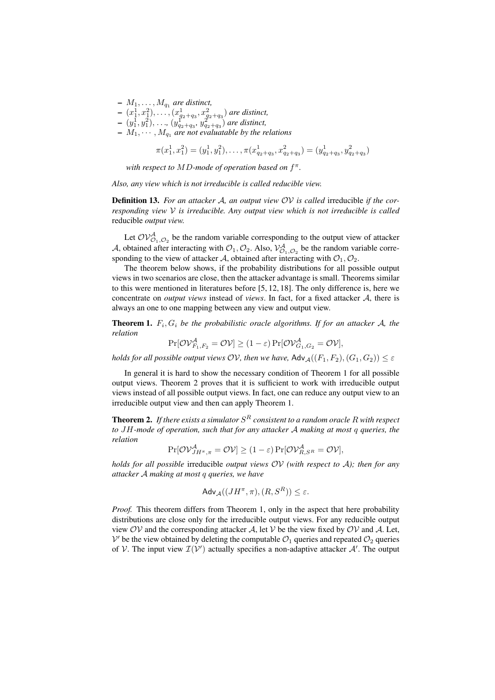- $M_1, \ldots, M_{q_1}$  are distinct,
- $(x_1^1, x_1^2), \ldots, (x_{q_2+q_3}^1, x_{q_2+q_3}^2)$  are distinct,
- $(y_1^1, y_1^2), \ldots, (y_{q_2+q_3}^1, y_{q_2+q_3}^2)$  *are distinct,*
- $M_1, \cdots, M_{q_1}$  are not evaluatable by the relations

$$
\pi(x_1^1, x_1^2) = (y_1^1, y_1^2), \dots, \pi(x_{q_2+q_3}^1, x_{q_2+q_3}^2) = (y_{q_2+q_3}^1, y_{q_2+q_3}^2)
$$

*with respect to* MD*-mode of operation based on* f π *.*

*Also, any view which is not irreducible is called reducible view.*

Definition 13. *For an attacker* A*, an output view* OV *is called* irreducible *if the corresponding view* V *is irreducible. Any output view which is not irreducible is called* reducible *output view.*

Let  $\mathcal{OV}_{\mathcal{O}_1,\mathcal{O}_2}^{\mathcal{A}}$  be the random variable corresponding to the output view of attacker A, obtained after interacting with  $\mathcal{O}_1$ ,  $\mathcal{O}_2$ . Also,  $\mathcal{V}^{\mathcal{A}}_{\mathcal{O}_1,\mathcal{O}_2}$  be the random variable corresponding to the view of attacker A, obtained after interacting with  $\mathcal{O}_1, \mathcal{O}_2$ .

The theorem below shows, if the probability distributions for all possible output views in two scenarios are close, then the attacker advantage is small. Theorems similar to this were mentioned in literatures before [5, 12, 18]. The only difference is, here we concentrate on *output views* instead of *views*. In fact, for a fixed attacker A, there is always an one to one mapping between any view and output view.

**Theorem 1.**  $F_i$ ,  $G_i$  be the probabilistic oracle algorithms. If for an attacker A, the *relation*

$$
\Pr[\mathcal{OV}_{F_1,F_2}^{\mathcal{A}} = \mathcal{OV}] \ge (1 - \varepsilon) \Pr[\mathcal{OV}_{G_1,G_2}^{\mathcal{A}} = \mathcal{OV}],
$$

*holds for all possible output views*  $OV$ *, then we have,*  $\mathsf{Adv}_{\mathcal{A}}((F_1, F_2), (G_1, G_2)) \leq \varepsilon$ 

In general it is hard to show the necessary condition of Theorem 1 for all possible output views. Theorem 2 proves that it is sufficient to work with irreducible output views instead of all possible output views. In fact, one can reduce any output view to an irreducible output view and then can apply Theorem 1.

**Theorem 2.** If there exists a simulator  $S^R$  consistent to a random oracle R with respect *to* JH*-mode of operation, such that for any attacker* A *making at most* q *queries, the relation*

$$
\Pr[\mathcal{O} \mathcal{V}_{JH^{\pi}, \pi}^{\mathcal{A}} = \mathcal{O} \mathcal{V}] \ge (1 - \varepsilon) \Pr[\mathcal{O} \mathcal{V}_{R, S^R}^{\mathcal{A}} = \mathcal{O} \mathcal{V}],
$$

*holds for all possible* irreducible *output views* OV *(with respect to* A*); then for any attacker* A *making at most* q *queries, we have*

$$
\mathsf{Adv}_{\mathcal{A}}((JH^{\pi}, \pi), (R, S^{R})) \le \varepsilon.
$$

*Proof.* This theorem differs from Theorem 1, only in the aspect that here probability distributions are close only for the irreducible output views. For any reducible output view  $O_V$  and the corresponding attacker A, let V be the view fixed by  $O_V$  and A. Let,  $V'$  be the view obtained by deleting the computable  $\mathcal{O}_1$  queries and repeated  $\mathcal{O}_2$  queries of V. The input view  $\mathcal{I}(V')$  actually specifies a non-adaptive attacker  $\mathcal{A}'$ . The output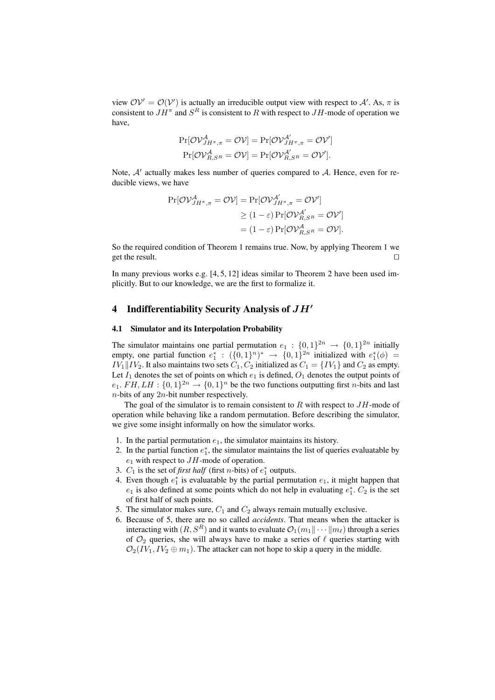view  $OV' = O(V')$  is actually an irreducible output view with respect to A'. As,  $\pi$  is consistent to  $JH^{\pi}$  and  $S^{R}$  is consistent to R with respect to  $JH$ -mode of operation we have,

$$
\Pr[\mathcal{OV}_{JH^\pi,\pi}^{\mathcal{A}} = \mathcal{OV}] = \Pr[\mathcal{OV}_{JH^\pi,\pi}^{\mathcal{A}'} = \mathcal{OV}'] \n\Pr[\mathcal{OV}_{R,SR}^{\mathcal{A}} = \mathcal{OV}] = \Pr[\mathcal{OV}_{R,SR}^{\mathcal{A}'} = \mathcal{OV}'].
$$

Note,  $A'$  actually makes less number of queries compared to  $A$ . Hence, even for reducible views, we have

$$
\Pr[\mathcal{OV}_{JH^\pi,\pi}^A = \mathcal{OV}] = \Pr[\mathcal{OV}_{JH^\pi,\pi}^A = \mathcal{OV}']
$$
  
\n
$$
\geq (1 - \varepsilon) \Pr[\mathcal{OV}_{R,SR}^{\mathcal{A}'} = \mathcal{OV}']
$$
  
\n
$$
= (1 - \varepsilon) \Pr[\mathcal{OV}_{R,SR}^{\mathcal{A}} = \mathcal{OV}']
$$

So the required condition of Theorem 1 remains true. Now, by applying Theorem 1 we get the result.  $\Box$ 

In many previous works e.g. [4, 5, 12] ideas similar to Theorem 2 have been used implicitly. But to our knowledge, we are the first to formalize it.

## 4 Indifferentiability Security Analysis of  $JH'$

#### 4.1 Simulator and its Interpolation Probability

The simulator maintains one partial permutation  $e_1: \{0,1\}^{2n} \rightarrow \{0,1\}^{2n}$  initially empty, one partial function  $e_1^* : (\{0,1\}^n)^* \rightarrow \{0,1\}^{2n}$  initialized with  $e_1^*(\phi) =$  $IV_1\|IV_2$ . It also maintains two sets  $C_1, C_2$  initialized as  $C_1 = \{IV_1\}$  and  $C_2$  as empty. Let  $I_1$  denotes the set of points on which  $e_1$  is defined,  $O_1$  denotes the output points of  $e_1$ .  $FH, LH : \{0,1\}^{2n} \rightarrow \{0,1\}^n$  be the two functions outputting first *n*-bits and last  $n$ -bits of any  $2n$ -bit number respectively.

The goal of the simulator is to remain consistent to  $R$  with respect to  $JH$ -mode of operation while behaving like a random permutation. Before describing the simulator, we give some insight informally on how the simulator works.

- 1. In the partial permutation  $e_1$ , the simulator maintains its history.
- 2. In the partial function  $e_1^*$ , the simulator maintains the list of queries evaluatable by  $e_1$  with respect to  $JH$ -mode of operation.
- 3.  $C_1$  is the set of *first half* (first *n*-bits) of  $e_1^*$  outputs.
- 4. Even though  $e_1^*$  is evaluatable by the partial permutation  $e_1$ , it might happen that  $e_1$  is also defined at some points which do not help in evaluating  $e_1^*$ .  $C_2$  is the set of first half of such points.
- 5. The simulator makes sure,  $C_1$  and  $C_2$  always remain mutually exclusive.
- 6. Because of 5, there are no so called *accidents*. That means when the attacker is interacting with  $(R, S^R)$  and it wants to evaluate  $\mathcal{O}_1(m_1 || \cdots || m_\ell)$  through a series of  $\mathcal{O}_2$  queries, she will always have to make a series of  $\ell$  queries starting with  $\mathcal{O}_2(IV_1, IV_2 \oplus m_1)$ . The attacker can not hope to skip a query in the middle.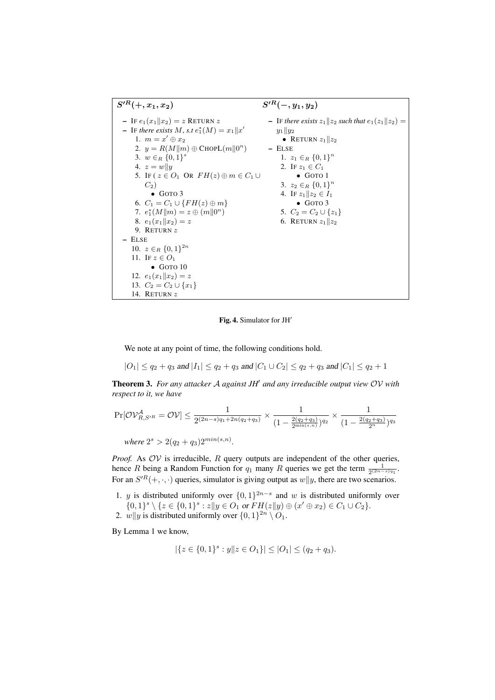

Fig. 4. Simulator for JH'

We note at any point of time, the following conditions hold.

$$
|O_1| \le q_2 + q_3 \text{ and } |I_1| \le q_2 + q_3 \text{ and } |C_1 \cup C_2| \le q_2 + q_3 \text{ and } |C_1| \le q_2 + 1
$$

Theorem 3. *For any attacker* A *against JH*<sup>0</sup> *and any irreducible output view* OV *with respect to it, we have*

$$
\Pr[\mathcal{O}\mathcal{V}_{R,S'R}^{\mathcal{A}} = \mathcal{O}\mathcal{V}] \le \frac{1}{2^{(2n-s)q_1 + 2n(q_2 + q_3)}} \times \frac{1}{(1 - \frac{2(q_2 + q_3)}{2^{\min(s,n)}})^{q_2}} \times \frac{1}{(1 - \frac{2(q_2 + q_3)}{2^n})^{q_3}}
$$
\nwhere  $2^s > 2(q_2 + q_3)2^{\min(s,n)}$ .

*Proof.* As  $OV$  is irreducible,  $R$  query outputs are independent of the other queries, hence R being a Random Function for  $q_1$  many R queries we get the term  $\frac{1}{2^{(2n-s)q_1}}$ . For an  $S^{R}(+,\cdot,\cdot)$  queries, simulator is giving output as  $w||y$ , there are two scenarios.

- 1. y is distributed uniformly over  $\{0,1\}^{2n-s}$  and w is distributed uniformly over  $\{0,1\}^s \setminus \{z \in \{0,1\}^s : z||y \in O_1 \text{ or } FH(z||y) \oplus (x' \oplus x_2) \in C_1 \cup C_2\}.$
- 2.  $w||y$  is distributed uniformly over  $\{0,1\}^{2n} \setminus O_1$ .

By Lemma 1 we know,

$$
|\{z \in \{0,1\}^s : y \| z \in O_1\}| \le |O_1| \le (q_2 + q_3).
$$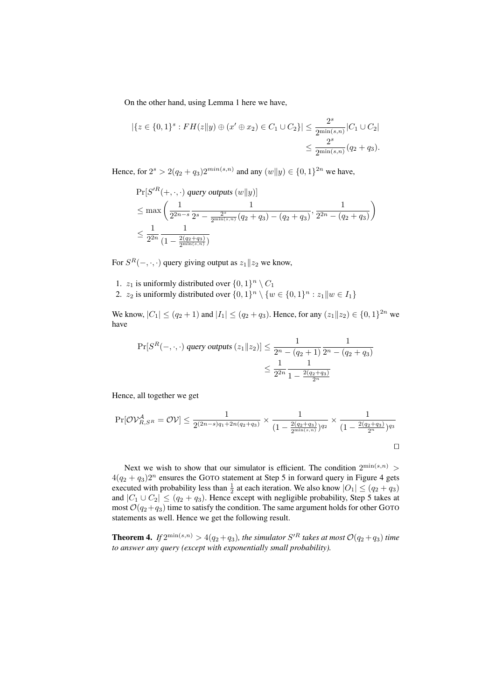On the other hand, using Lemma 1 here we have,

$$
|\{z \in \{0,1\}^s : FH(z||y) \oplus (x' \oplus x_2) \in C_1 \cup C_2\}| \leq \frac{2^s}{2^{\min(s,n)}} |C_1 \cup C_2|
$$
  
 
$$
\leq \frac{2^s}{2^{\min(s,n)}} (q_2 + q_3).
$$

Hence, for  $2^s > 2(q_2 + q_3)2^{min(s,n)}$  and any  $(w||y) \in \{0, 1\}^{2n}$  we have,

$$
\Pr[S'^R(+, \cdot, \cdot) \text{ query outputs } (w||y)]
$$
\n
$$
\leq \max \left( \frac{1}{2^{2n-s}} \frac{1}{2^s - \frac{2^s}{2^{\min(s,n)}} (q_2 + q_3) - (q_2 + q_3)}, \frac{1}{2^{2n} - (q_2 + q_3)} \right)
$$
\n
$$
\leq \frac{1}{2^{2n}} \frac{1}{\left( 1 - \frac{2(q_2 + q_3)}{2^{\min(s,n)}} \right)}
$$

For  $S^R(-, \cdot, \cdot)$  query giving output as  $z_1||z_2$  we know,

- 1.  $z_1$  is uniformly distributed over  $\{0,1\}^n \setminus C_1$
- 2.  $z_2$  is uniformly distributed over  $\{0,1\}^n \setminus \{w \in \{0,1\}^n : z_1 \| w \in I_1\}$

We know,  $|C_1| \le (q_2 + 1)$  and  $|I_1| \le (q_2 + q_3)$ . Hence, for any  $(z_1 || z_2) \in \{0, 1\}^{2n}$  we have

$$
\Pr[S^{R}(-, \cdot, \cdot) \text{ query outputs } (z_1 \| z_2)] \le \frac{1}{2^n - (q_2 + 1)} \frac{1}{2^n - (q_2 + q_3)} \le \frac{1}{2^{2n}} \frac{1}{1 - \frac{2(q_2 + q_3)}{2^n}}
$$

Hence, all together we get

$$
\Pr[\mathcal{O}\mathcal{V}_{R,S^R}^{\mathcal{A}} = \mathcal{O}\mathcal{V}] \le \frac{1}{2^{(2n-s)q_1+2n(q_2+q_3)}} \times \frac{1}{(1-\frac{2(q_2+q_3)}{2^{\min(s,n)}})^{q_2}} \times \frac{1}{(1-\frac{2(q_2+q_3)}{2^n})^{q_3}}
$$

Next we wish to show that our simulator is efficient. The condition  $2^{\min(s,n)}$  $4(q_2 + q_3)2^n$  ensures the GOTO statement at Step 5 in forward query in Figure 4 gets executed with probability less than  $\frac{1}{2}$  at each iteration. We also know  $|O_1| \le (q_2 + q_3)$ and  $|C_1 \cup C_2| \leq (q_2 + q_3)$ . Hence except with negligible probability, Step 5 takes at most  $\mathcal{O}(q_2+q_3)$  time to satisfy the condition. The same argument holds for other GOTO statements as well. Hence we get the following result.

**Theorem 4.** If  $2^{\min(s,n)} > 4(q_2+q_3)$ , the simulator  $S'^R$  takes at most  $\mathcal{O}(q_2+q_3)$  time *to answer any query (except with exponentially small probability).*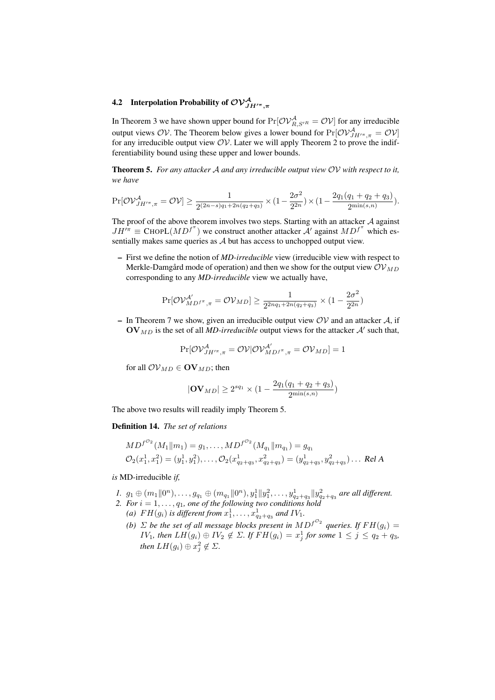# 4.2 Interpolation Probability of  $\mathcal{OV}^{\mathcal{A}}_{JH^{/\pi},\pi}$

In Theorem 3 we have shown upper bound for  $Pr[\mathcal{OV}_{R,S'^R}^{\mathcal{A}} = \mathcal{OV}]$  for any irreducible output views OV. The Theorem below gives a lower bound for  $Pr[OV_{JH''^,\pi}^{\mathcal{A}} = OV]$ for any irreducible output view  $O_V$ . Later we will apply Theorem 2 to prove the indifferentiability bound using these upper and lower bounds.

Theorem 5. *For any attacker* A *and any irreducible output view* OV *with respect to it, we have*

$$
\Pr[\mathcal{O}\mathcal{V}_{JH^{\prime\pi},\pi}^{\mathcal{A}} = \mathcal{O}\mathcal{V}] \ge \frac{1}{2^{(2n-s)q_1+2n(q_2+q_3)}} \times (1-\frac{2\sigma^2}{2^{2n}}) \times (1-\frac{2q_1(q_1+q_2+q_3)}{2^{\min(s,n)}}).
$$

The proof of the above theorem involves two steps. Starting with an attacker  $A$  against  $JH^{/\pi} \equiv \text{ChopL}(MD^{f^{\pi}})$  we construct another attacker  $\mathcal{A}'$  against  $MD^{f^{\pi}}$  which essentially makes same queries as A but has access to unchopped output view.

– First we define the notion of *MD-irreducible* view (irreducible view with respect to Merkle-Damgård mode of operation) and then we show for the output view  $\mathcal{OV}_{MD}$ corresponding to any *MD-irreducible* view we actually have,

$$
\Pr[\mathcal{O}\mathcal{V}_{MD^f{}^{\pi}, \pi}^{\mathcal{A}'} = \mathcal{O}\mathcal{V}_{MD}] \ge \frac{1}{2^{2nq_1+2n(q_2+q_3)}} \times (1 - \frac{2\sigma^2}{2^{2n}})
$$

– In Theorem 7 we show, given an irreducible output view  $OV$  and an attacker A, if  $\mathbf{O} \mathbf{V}_{MD}$  is the set of all *MD-irreducible* output views for the attacker  $\mathcal{A}'$  such that,

$$
\Pr[\mathcal{O}\mathcal{V}_{JH^{\prime\pi},\pi}^{\mathcal{A}}=\mathcal{O}\mathcal{V}|\mathcal{O}\mathcal{V}_{MD^{\mathcal{A}}^{\prime},\pi}^{\mathcal{A}^{\prime}}=\mathcal{O}\mathcal{V}_{MD}]=1
$$

for all  $\mathcal{OV}_{MD} \in \mathbf{OV}_{MD}$ ; then

$$
|\mathbf{OV}_{MD}| \ge 2^{sq_1} \times (1 - \frac{2q_1(q_1 + q_2 + q_3)}{2^{\min(s,n)}})
$$

The above two results will readily imply Theorem 5.

#### Definition 14. *The set of relations*

$$
MD^{f^{O_2}}(M_1||m_1) = g_1, ..., MD^{f^{O_2}}(M_{q_1}||m_{q_1}) = g_{q_1}
$$
  

$$
\mathcal{O}_2(x_1^1, x_1^2) = (y_1^1, y_1^2), ..., \mathcal{O}_2(x_{q_2+q_3}^1, x_{q_2+q_3}^2) = (y_{q_2+q_3}^1, y_{q_2+q_3}^2) \dots \text{ Rel } A
$$

*is* MD-irreducible *if,*

- $1.$   $g_1 \oplus (m_1 \| 0^n), \ldots, g_{q_1} \oplus (m_{q_1} \| 0^n), y_1^1 \| y_1^2, \ldots, y_{q_2+q_3}^1 \| y_{q_2+q_3}^2$  are all different.
- 2. For  $i = 1, \ldots, q_1$ , one of the following two conditions hold (a)  $FH(g_i)$  is different from  $x_1^1, \ldots, x_{q_2+q_3}^1$  and  $IV_1$ .
	- *(b)*  $\Sigma$  *be the set of all message blocks present in*  $MD^{f^{\mathcal{O}_2}}$  queries. If  $FH(g_i)$  =  $IV_1$ , then  $LH(g_i) \oplus IV_2 \notin \Sigma$ . If  $FH(g_i) = x_j^1$  for some  $1 \leq j \leq q_2 + q_3$ , *then*  $LH(g_i) \oplus x_j^2 \notin \Sigma$ .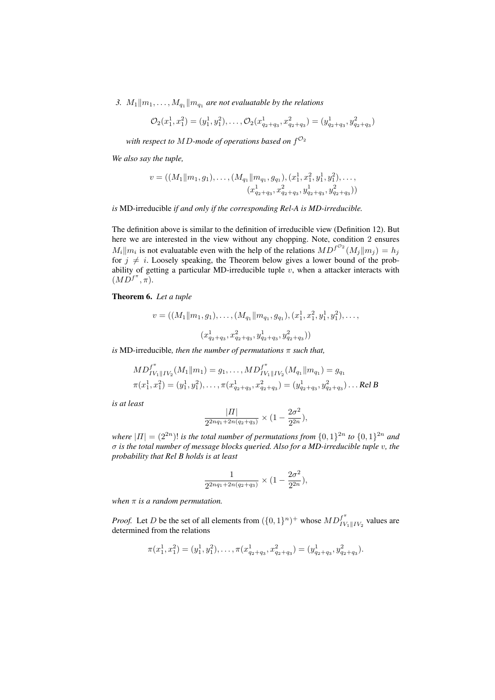*3.*  $M_1||m_1, \ldots, M_{q_1}||m_{q_1}$  *are not evaluatable by the relations* 

$$
\mathcal{O}_2(x_1^1, x_1^2) = (y_1^1, y_1^2), \dots, \mathcal{O}_2(x_{q_2+q_3}^1, x_{q_2+q_3}^2) = (y_{q_2+q_3}^1, y_{q_2+q_3}^2)
$$

with respect to  $MD$ -mode of operations based on  $f^{\mathcal{O}_2}$ 

*We also say the tuple,*

$$
v = ((M_1 || m_1, g_1), \dots, (M_{q_1} || m_{q_1}, g_{q_1}), (x_1^1, x_1^2, y_1^1, y_1^2), \dots, (x_{q_2+q_3}^1, x_{q_2+q_3}^2, y_{q_2+q_3}^1, y_{q_2+q_3}^2))
$$

*is* MD-irreducible *if and only if the corresponding Rel-A is MD-irreducible.*

The definition above is similar to the definition of irreducible view (Definition 12). But here we are interested in the view without any chopping. Note, condition 2 ensures  $M_i||m_i$  is not evaluatable even with the help of the relations  $MD^{f^{\mathcal{O}_2}}(M_j||m_j) = h_j$ for  $j \neq i$ . Loosely speaking, the Theorem below gives a lower bound of the probability of getting a particular MD-irreducible tuple  $v$ , when a attacker interacts with  $(M\overline{D}^{f^{\pi}}, \overline{\pi}).$ 

Theorem 6. *Let a tuple*

$$
v = ((M_1 || m_1, g_1), \dots, (M_{q_1} || m_{q_1}, g_{q_1}), (x_1^1, x_1^2, y_1^1, y_1^2), \dots, (x_{q_2+q_3}^1, x_{q_2+q_3}^2, y_{q_2+q_3}^1, y_{q_2+q_3}^2))
$$

*is* MD-irreducible*, then the number of permutations* π *such that,*

$$
MD_{IV_1||IV_2}^{f^{\pi}}(M_1||m_1) = g_1, ..., MD_{IV_1||IV_2}^{f^{\pi}}(M_{q_1}||m_{q_1}) = g_{q_1}
$$
  

$$
\pi(x_1^1, x_1^2) = (y_1^1, y_1^2), ..., \pi(x_{q_2+q_3}^1, x_{q_2+q_3}^2) = (y_{q_2+q_3}^1, y_{q_2+q_3}^2) \dots \text{Rel } B
$$

*is at least*

$$
\frac{|II|}{2^{2nq_1+2n(q_2+q_3)}} \times (1-\frac{2\sigma^2}{2^{2n}}),
$$

*where*  $|II| = (2^{2n})!$  *is the total number of permutations from*  $\{0,1\}^{2n}$  *to*  $\{0,1\}^{2n}$  *and* σ *is the total number of message blocks queried. Also for a MD-irreducible tuple* v*, the probability that Rel B holds is at least*

$$
\frac{1}{2^{2nq_1+2n(q_2+q_3)}} \times (1-\frac{2\sigma^2}{2^{2n}}),
$$

*when* π *is a random permutation.*

*Proof.* Let D be the set of all elements from  $({0,1}^n)^+$  whose  $MD_{IV}^{f^*}$  $\iota_{IV_1\| IV_2}^J$  values are determined from the relations

$$
\pi(x_1^1, x_1^2) = (y_1^1, y_1^2), \dots, \pi(x_{q_2+q_3}^1, x_{q_2+q_3}^2) = (y_{q_2+q_3}^1, y_{q_2+q_3}^2).
$$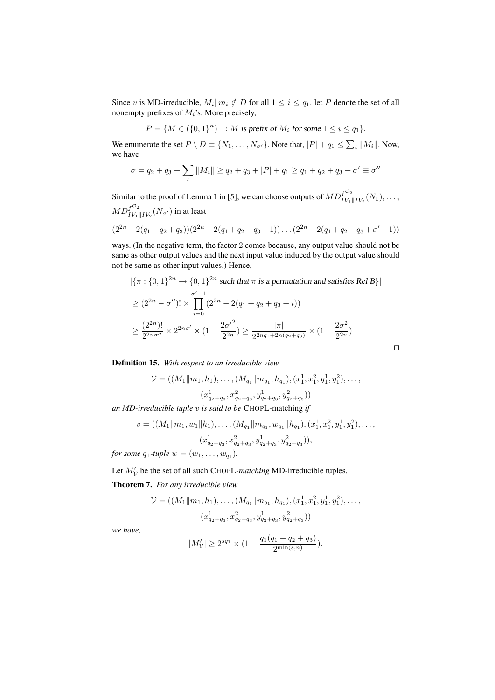Since v is MD-irreducible,  $M_i || m_i \notin D$  for all  $1 \leq i \leq q_1$ . let P denote the set of all nonempty prefixes of  $M_i$ 's. More precisely,

$$
P = \{ M \in (\{0,1\}^n)^+ : M \text{ is prefix of } M_i \text{ for some } 1 \le i \le q_1 \}.
$$

We enumerate the set  $P \setminus D \equiv \{N_1, \ldots, N_{\sigma'}\}$ . Note that,  $|P| + q_1 \le \sum_i ||M_i||$ . Now, we have

$$
\sigma = q_2 + q_3 + \sum_i ||M_i|| \ge q_2 + q_3 + |P| + q_1 \ge q_1 + q_2 + q_3 + \sigma' \equiv \sigma''
$$

Similar to the proof of Lemma 1 in [5], we can choose outputs of  $MD_{1/2}^{f^{O_2}}$  $\frac{1}{IV_1\|IV_2}(N_1), \ldots,$  $MD_{I\bar{V}_1}^{f^{\mathcal{O}_2}}$  $\frac{J}{IV_1\|IV_2}(N_{\sigma'})$  in at least

$$
(2^{2n}-2(q_1+q_2+q_3))(2^{2n}-2(q_1+q_2+q_3+1))\dots(2^{2n}-2(q_1+q_2+q_3+\sigma'-1))
$$

ways. (In the negative term, the factor 2 comes because, any output value should not be same as other output values and the next input value induced by the output value should not be same as other input values.) Hence,

$$
|\{\pi : \{0,1\}^{2n} \to \{0,1\}^{2n} \text{ such that } \pi \text{ is a permutation and satisfies Rel } B\}|
$$
  
\n
$$
\geq (2^{2n} - \sigma'')! \times \prod_{i=0}^{\sigma'-1} (2^{2n} - 2(q_1 + q_2 + q_3 + i))
$$
  
\n
$$
\geq \frac{(2^{2n})!}{2^{2n\sigma''}} \times 2^{2n\sigma'} \times (1 - \frac{2\sigma'^2}{2^{2n}}) \geq \frac{|\pi|}{2^{2nq_1 + 2n(q_2 + q_3)}} \times (1 - \frac{2\sigma^2}{2^{2n}})
$$

 $\Box$ 

Definition 15. *With respect to an irreducible view*

$$
\mathcal{V} = ((M_1||m_1, h_1), \dots, (M_{q_1}||m_{q_1}, h_{q_1}), (x_1^1, x_1^2, y_1^1, y_1^2), \dots, (x_{q_2+q_3}^1, x_{q_2+q_3}^2, y_{q_2+q_3}^1, y_{q_2+q_3}^2))
$$

*an MD-irreducible tuple* v *is said to be* CHOPL-matching *if*

$$
v = ((M_1 || m_1, w_1 || h_1), \dots, (M_{q_1} || m_{q_1}, w_{q_1} || h_{q_1}), (x_1^1, x_1^2, y_1^1, y_1^2), \dots, (x_{q_2+q_3}^1, x_{q_2+q_3}^2, y_{q_2+q_3}^1, y_{q_2+q_3}^2)),
$$

*for some*  $q_1$ -tuple  $w = (w_1, \ldots, w_{q_1})$ .

Let  $M'_{\mathcal{V}}$  be the set of all such CHOPL-matching MD-irreducible tuples.

Theorem 7. *For any irreducible view*

$$
\mathcal{V} = ((M_1||m_1, h_1), \dots, (M_{q_1}||m_{q_1}, h_{q_1}), (x_1^1, x_1^2, y_1^1, y_1^2), \dots, (x_{q_2+q_3}^1, x_{q_2+q_3}^2, y_{q_2+q_3}^1, y_{q_2+q_3}^2))
$$

*we have,*

$$
|M'_{\mathcal{V}}| \ge 2^{sq_1} \times (1 - \frac{q_1(q_1 + q_2 + q_3)}{2^{\min(s,n)}}).
$$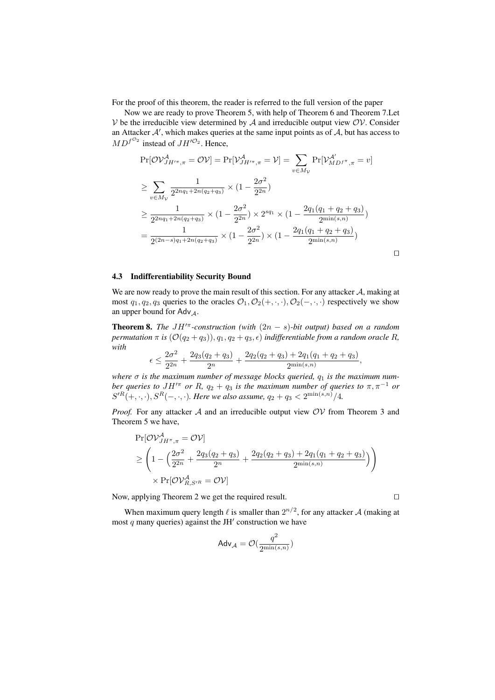For the proof of this theorem, the reader is referred to the full version of the paper

Now we are ready to prove Theorem 5, with help of Theorem 6 and Theorem 7.Let  $V$  be the irreducible view determined by  $A$  and irreducible output view  $OV$ . Consider an Attacker  $A'$ , which makes queries at the same input points as of  $A$ , but has access to  $MD^{f^{\mathcal{O}_2}}$  instead of  $JH'^{\mathcal{O}_2}$ . Hence,

$$
\Pr[\mathcal{O}\mathcal{V}_{JH^{/\pi},\pi}^{\mathcal{A}} = \mathcal{O}\mathcal{V}] = \Pr[\mathcal{V}_{JH^{/\pi},\pi}^{\mathcal{A}} = \mathcal{V}] = \sum_{v \in M_{\mathcal{V}}} \Pr[\mathcal{V}_{MD^{f^{\pi}},\pi}^{\mathcal{A}'} = v]
$$
  
\n
$$
\geq \sum_{v \in M_{\mathcal{V}}} \frac{1}{2^{2nq_1 + 2n(q_2 + q_3)}} \times (1 - \frac{2\sigma^2}{2^{2n}})
$$
  
\n
$$
\geq \frac{1}{2^{2nq_1 + 2n(q_2 + q_3)}} \times (1 - \frac{2\sigma^2}{2^{2n}}) \times 2^{sq_1} \times (1 - \frac{2q_1(q_1 + q_2 + q_3)}{2^{\min(s,n)}})
$$
  
\n
$$
= \frac{1}{2^{(2n - s)q_1 + 2n(q_2 + q_3)}} \times (1 - \frac{2\sigma^2}{2^{2n}}) \times (1 - \frac{2q_1(q_1 + q_2 + q_3)}{2^{\min(s,n)}})
$$

 $\Box$ 

#### 4.3 Indifferentiability Security Bound

We are now ready to prove the main result of this section. For any attacker  $A$ , making at most  $q_1, q_2, q_3$  queries to the oracles  $\mathcal{O}_1, \mathcal{O}_2(+, \cdot, \cdot), \mathcal{O}_2(-, \cdot, \cdot)$  respectively we show an upper bound for Adv  $_A$ .

**Theorem 8.** *The*  $JH'^{\pi}$ *-construction (with*  $(2n - s)$ *-bit output) based on a random permutation*  $\pi$  *is*  $(\mathcal{O}(q_2 + q_3)), q_1, q_2 + q_3, \epsilon)$  *indifferentiable from a random oracle* R, *with*

$$
\epsilon \le \frac{2\sigma^2}{2^{2n}} + \frac{2q_3(q_2+q_3)}{2^n} + \frac{2q_2(q_2+q_3) + 2q_1(q_1+q_2+q_3)}{2^{\min(s,n)}},
$$

*where*  $\sigma$  *is the maximum number of message blocks queried,*  $q_1$  *is the maximum number queries to*  $JH'^\pi$  *or*  $R$ *,*  $q_2 + q_3$  *is the maximum number of queries to*  $\pi, \pi^{-1}$  *or*  $S'^{R}(+,\cdot,\cdot), S^{R}(-,\cdot,\cdot).$  Here we also assume,  $q_2 + q_3 < 2^{\min(s,n)}/4.$ 

*Proof.* For any attacker  $A$  and an irreducible output view  $OV$  from Theorem 3 and Theorem 5 we have,

$$
\Pr[\mathcal{OV}_{JH^{\pi}, \pi}^A = \mathcal{OV}]
$$
\n
$$
\geq \left(1 - \left(\frac{2\sigma^2}{2^{2n}} + \frac{2q_3(q_2 + q_3)}{2^n} + \frac{2q_2(q_2 + q_3) + 2q_1(q_1 + q_2 + q_3)}{2^{\min(s, n)}}\right)\right)
$$
\n
$$
\times \Pr[\mathcal{OV}_{R, S'^R}^{\mathcal{A}} = \mathcal{OV}]
$$

Now, applying Theorem 2 we get the required result.  $\Box$ 

When maximum query length  $\ell$  is smaller than  $2^{n/2}$ , for any attacker A (making at most  $q$  many queries) against the JH $'$  construction we have

$$
\mathsf{Adv}_{\mathcal{A}} = \mathcal{O}(\frac{q^2}{2^{\min(s,n)}})
$$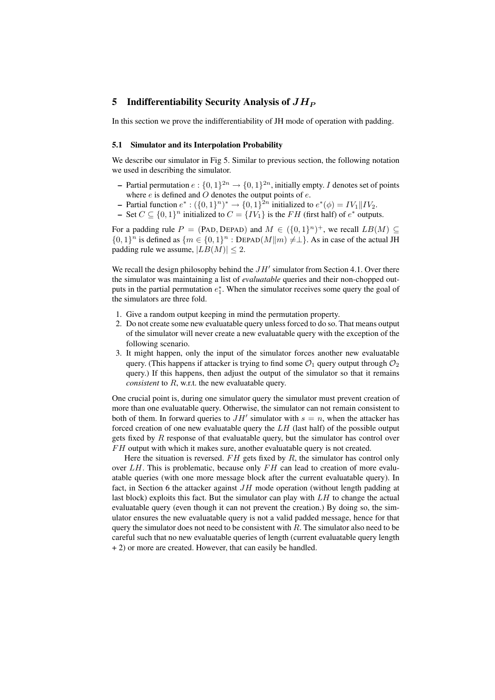#### 5 Indifferentiability Security Analysis of  $JH_P$

In this section we prove the indifferentiability of JH mode of operation with padding.

#### 5.1 Simulator and its Interpolation Probability

We describe our simulator in Fig 5. Similar to previous section, the following notation we used in describing the simulator.

- Partial permutation  $e: \{0,1\}^{2n} \to \{0,1\}^{2n}$ , initially empty. *I* denotes set of points where  $e$  is defined and  $\ddot{o}$  denotes the output points of  $e$ .
- Partial function  $e^*: ({0,1})^n)^* \to {0,1}^{2n}$  initialized to  $e^*(\phi) = IV_1 || IV_2$ .
- − Set  $C \subseteq \{0,1\}^n$  initialized to  $C = \{IV_1\}$  is the FH (first half) of  $e^*$  outputs.

For a padding rule  $P = (PAD, DEPAD)$  and  $M \in (\{0,1\}^n)^+$ , we recall  $LB(M) \subseteq$  $\{0,1\}^n$  is defined as  $\{m \in \{0,1\}^n : \text{DEPAD}(M||m) \neq \perp\}$ . As in case of the actual JH padding rule we assume,  $|LB(M)| \leq 2$ .

We recall the design philosophy behind the  $JH'$  simulator from Section 4.1. Over there the simulator was maintaining a list of *evaluatable* queries and their non-chopped outputs in the partial permutation  $e_1^*$ . When the simulator receives some query the goal of the simulators are three fold.

- 1. Give a random output keeping in mind the permutation property.
- 2. Do not create some new evaluatable query unless forced to do so. That means output of the simulator will never create a new evaluatable query with the exception of the following scenario.
- 3. It might happen, only the input of the simulator forces another new evaluatable query. (This happens if attacker is trying to find some  $\mathcal{O}_1$  query output through  $\mathcal{O}_2$ query.) If this happens, then adjust the output of the simulator so that it remains *consistent* to R, w.r.t. the new evaluatable query.

One crucial point is, during one simulator query the simulator must prevent creation of more than one evaluatable query. Otherwise, the simulator can not remain consistent to both of them. In forward queries to  $JH'$  simulator with  $s = n$ , when the attacker has forced creation of one new evaluatable query the  $LH$  (last half) of the possible output gets fixed by  $R$  response of that evaluatable query, but the simulator has control over FH output with which it makes sure, another evaluatable query is not created.

Here the situation is reversed.  $FH$  gets fixed by  $R$ , the simulator has control only over  $LH$ . This is problematic, because only  $FH$  can lead to creation of more evaluatable queries (with one more message block after the current evaluatable query). In fact, in Section 6 the attacker against  $JH$  mode operation (without length padding at last block) exploits this fact. But the simulator can play with  $LH$  to change the actual evaluatable query (even though it can not prevent the creation.) By doing so, the simulator ensures the new evaluatable query is not a valid padded message, hence for that query the simulator does not need to be consistent with  $R$ . The simulator also need to be careful such that no new evaluatable queries of length (current evaluatable query length + 2) or more are created. However, that can easily be handled.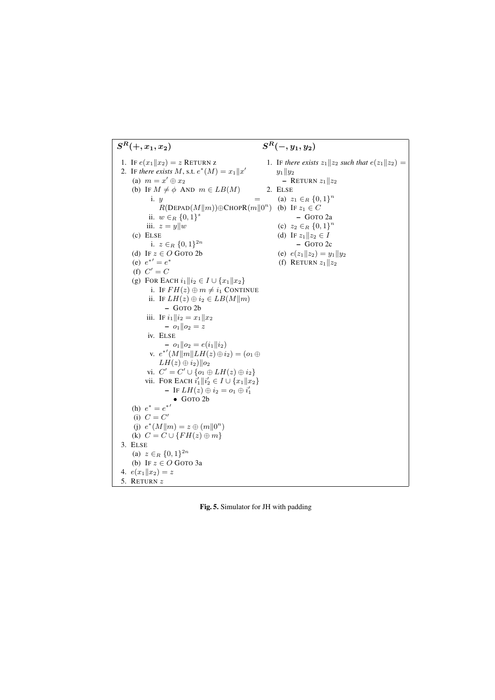

Fig. 5. Simulator for JH with padding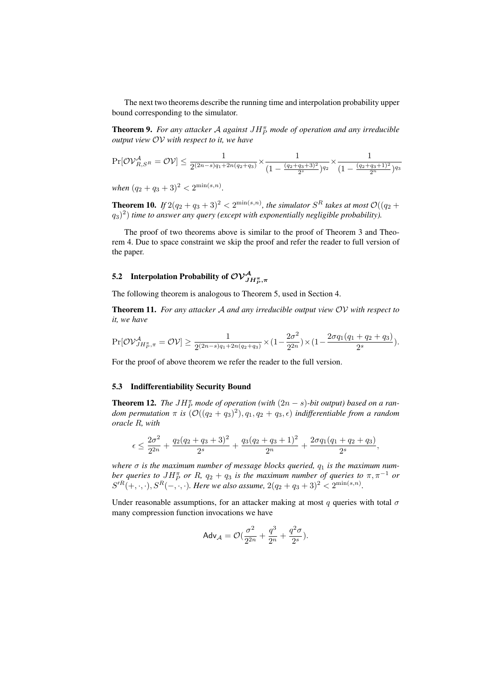The next two theorems describe the running time and interpolation probability upper bound corresponding to the simulator.

**Theorem 9.** For any attacker A against  $JH_p^{\pi}$  mode of operation and any irreducible *output view* OV *with respect to it, we have*

$$
\Pr[\mathcal{O}\mathcal{V}_{R, S^{R}}^{A} = \mathcal{O}\mathcal{V}] \leq \frac{1}{2^{(2n-s)q_{1}+2n(q_{2}+q_{3})}} \times \frac{1}{(1-\frac{(q_{2}+q_{3}+3)^{2}}{2^{s}})^{q_{2}}}\times \frac{1}{(1-\frac{(q_{2}+q_{3}+1)^{2}}{2^{n}})^{q_{3}}}
$$

 $when (q_2+q_3+3)^2 < 2^{\min(s,n)}$ .

**Theorem 10.** If  $2(q_2+q_3+3)^2 < 2^{\min(s,n)}$ , the simulator  $S^R$  takes at most  $\mathcal{O}((q_2+q_3+3)^2)$  $(q_3)^2$ ) time to answer any query (except with exponentially negligible probability).

The proof of two theorems above is similar to the proof of Theorem 3 and Theorem 4. Due to space constraint we skip the proof and refer the reader to full version of the paper.

# 5.2 Interpolation Probability of  $\mathcal{O}\mathcal{V}^{\mathcal{A}}_{JH^{\pi}_{P},\pi}$

The following theorem is analogous to Theorem 5, used in Section 4.

Theorem 11. *For any attacker* A *and any irreducible output view* OV *with respect to it, we have*

$$
\Pr[\mathcal{O}\mathcal{V}_{JH_{P}^{\pi},\pi}^{\mathcal{A}} = \mathcal{O}\mathcal{V}] \ge \frac{1}{2^{(2n-s)q_1+2n(q_2+q_3)}} \times (1-\frac{2\sigma^2}{2^{2n}}) \times (1-\frac{2\sigma q_1(q_1+q_2+q_3)}{2^s}).
$$

For the proof of above theorem we refer the reader to the full version.

#### 5.3 Indifferentiability Security Bound

**Theorem 12.** The  $JH_P^{\pi}$  mode of operation (with  $(2n - s)$ -bit output) based on a ran $dom$  permutation  $\pi$  is  $(\mathcal{O}((q_2 + q_3)^2), q_1, q_2 + q_3, \epsilon)$  indifferentiable from a random *oracle* R*, with*

$$
\epsilon \le \frac{2\sigma^2}{2^{2n}} + \frac{q_2(q_2+q_3+3)^2}{2^s} + \frac{q_3(q_2+q_3+1)^2}{2^n} + \frac{2\sigma q_1(q_1+q_2+q_3)}{2^s},
$$

where  $\sigma$  is the maximum number of message blocks queried,  $q_1$  is the maximum num*ber queries to JH*<sup> $\pi$ </sup> *or* R,  $q_2 + q_3$  *is the maximum number of queries to*  $\pi$ ,  $\pi^{-1}$  *or*  $S'^{R}(+,\cdot,\cdot), S^{R}(-,\cdot,\cdot)$ . Here we also assume,  $2(q_2+q_3+3)^2 < 2^{\min(s,n)}$ .

Under reasonable assumptions, for an attacker making at most  $q$  queries with total  $\sigma$ many compression function invocations we have

$$
\mathsf{Adv}_{\mathcal{A}} = \mathcal{O}(\frac{\sigma^2}{2^{2n}} + \frac{q^3}{2^n} + \frac{q^2\sigma}{2^s}).
$$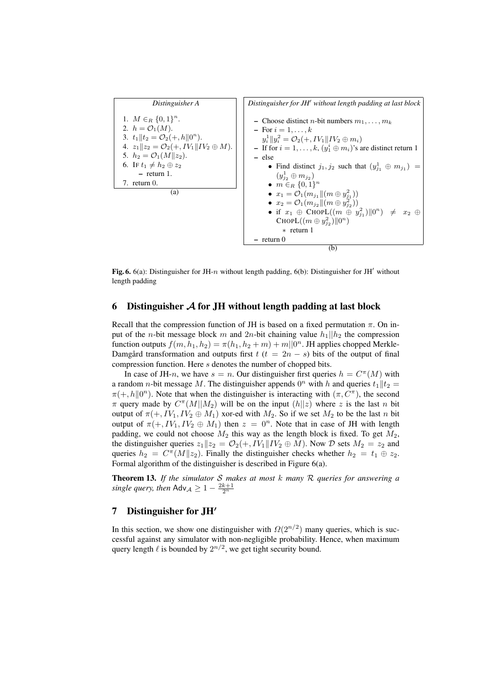

Fig. 6. 6(a): Distinguisher for JH-n without length padding, 6(b): Distinguisher for JH' without length padding

## 6 Distinguisher  $A$  for JH without length padding at last block

Recall that the compression function of JH is based on a fixed permutation  $\pi$ . On input of the *n*-bit message block m and 2n-bit chaining value  $h_1||h_2$  the compression function outputs  $f(m, h_1, h_2) = \pi(h_1, h_2 + m) + m||0^n$ . JH applies chopped Merkle-Damgård transformation and outputs first  $t$  ( $t = 2n - s$ ) bits of the output of final compression function. Here s denotes the number of chopped bits.

In case of JH-n, we have  $s = n$ . Our distinguisher first queries  $h = C^{\pi}(M)$  with a random *n*-bit message M. The distinguisher appends  $0^n$  with h and queries  $t_1||t_2 =$  $\pi(+, h \| 0^n)$ . Note that when the distinguisher is interacting with  $(\pi, C^{\pi})$ , the second  $\pi$  query made by  $C^{\pi}(M||M_2)$  will be on the input  $(h||z)$  where z is the last n bit output of  $\pi(+, IV_1, IV_2 \oplus M_1)$  xor-ed with  $M_2$ . So if we set  $M_2$  to be the last n bit output of  $\pi(+, IV_1, IV_2 \oplus M_1)$  then  $z = 0^n$ . Note that in case of JH with length padding, we could not choose  $M_2$  this way as the length block is fixed. To get  $M_2$ , the distinguisher queries  $z_1z_2 = \mathcal{O}_2(+, IV_1||IV_2 \oplus M)$ . Now  $\mathcal D$  sets  $M_2 = z_2$  and queries  $h_2 = C^{\pi}(M||z_2)$ . Finally the distinguisher checks whether  $h_2 = t_1 \oplus z_2$ . Formal algorithm of the distinguisher is described in Figure 6(a).

Theorem 13. *If the simulator* S *makes at most* k *many* R *queries for answering a single query, then*  $\mathsf{Adv}_{\mathcal{A}} \geq 1 - \frac{2k+1}{2^n}$ 

## 7 Distinguisher for JH'

In this section, we show one distinguisher with  $\Omega(2^{n/2})$  many queries, which is successful against any simulator with non-negligible probability. Hence, when maximum query length  $\ell$  is bounded by  $2^{n/2}$ , we get tight security bound.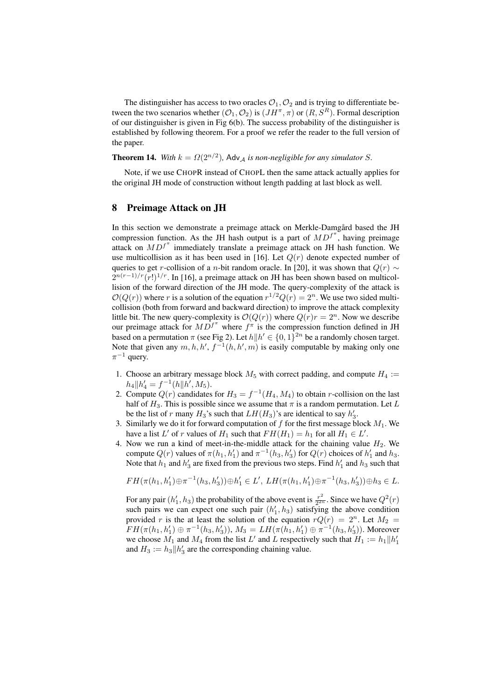The distinguisher has access to two oracles  $\mathcal{O}_1, \mathcal{O}_2$  and is trying to differentiate between the two scenarios whether  $(\mathcal{O}_1, \mathcal{O}_2)$  is  $(JH^{\pi}, \pi)$  or  $(R, S^R)$ . Formal description of our distinguisher is given in Fig 6(b). The success probability of the distinguisher is established by following theorem. For a proof we refer the reader to the full version of the paper.

## **Theorem 14.** *With*  $k = \Omega(2^{n/2})$ , Adv<sub>A</sub> is non-negligible for any simulator S.

Note, if we use CHOPR instead of CHOPL then the same attack actually applies for the original JH mode of construction without length padding at last block as well.

#### 8 Preimage Attack on JH

In this section we demonstrate a preimage attack on Merkle-Damgård based the JH compression function. As the JH hash output is a part of  $MD^{f^*}$ , having preimage attack on  $MD^{f^{\pi}}$  immediately translate a preimage attack on JH hash function. We use multicollision as it has been used in [16]. Let  $Q(r)$  denote expected number of queries to get r-collision of a n-bit random oracle. In [20], it was shown that  $Q(r) \sim$  $2^{n(r-1)/r}(r!)^{1/r}$ . In [16], a preimage attack on JH has been shown based on multicollision of the forward direction of the JH mode. The query-complexity of the attack is  $\mathcal{O}(Q(r))$  where r is a solution of the equation  $r^{1/2}Q(r) = 2^n$ . We use two sided multicollision (both from forward and backward direction) to improve the attack complexity little bit. The new query-complexity is  $\mathcal{O}(Q(r))$  where  $Q(r)r = 2<sup>n</sup>$ . Now we describe our preimage attack for  $MD^{f^{\pi}}$  where  $f^{\pi}$  is the compression function defined in JH based on a permutation  $\pi$  (see Fig 2). Let  $h||h' \in \{0,1\}^{2n}$  be a randomly chosen target. Note that given any  $m, h, h', f^{-1}(h, h', m)$  is easily computable by making only one  $\pi^{-1}$  query.

- 1. Choose an arbitrary message block  $M_5$  with correct padding, and compute  $H_4$  :=  $h_4\|h'_4 = f^{-1}(h\|h', M_5).$
- 2. Compute  $Q(r)$  candidates for  $H_3 = f^{-1}(H_4, M_4)$  to obtain r-collision on the last half of  $H_3$ . This is possible since we assume that  $\pi$  is a random permutation. Let L be the list of r many  $H_3$ 's such that  $LH(H_3)$ 's are identical to say  $h'_3$ .
- 3. Similarly we do it for forward computation of f for the first message block  $M_1$ . We have a list L' of r values of  $H_1$  such that  $FH(H_1) = h_1$  for all  $H_1 \in L'$ .
- 4. Now we run a kind of meet-in-the-middle attack for the chaining value  $H_2$ . We compute  $Q(r)$  values of  $\pi(h_1, h'_1)$  and  $\pi^{-1}(h_3, h'_3)$  for  $Q(r)$  choices of  $h'_1$  and  $h_3$ . Note that  $h_1$  and  $h'_3$  are fixed from the previous two steps. Find  $h'_1$  and  $h_3$  such that

$$
FH(\pi(h_1, h'_1) \oplus \pi^{-1}(h_3, h'_3)) \oplus h'_1 \in L', LH(\pi(h_1, h'_1) \oplus \pi^{-1}(h_3, h'_3)) \oplus h_3 \in L.
$$

For any pair  $(h'_1, h_3)$  the probability of the above event is  $\frac{r^2}{2^{2n}}$  $\frac{r^2}{2^{2n}}$ . Since we have  $Q^2(r)$ such pairs we can expect one such pair  $(h'_1, h_3)$  satisfying the above condition provided r is the at least the solution of the equation  $rQ(r) = 2<sup>n</sup>$ . Let  $M_2 =$  $FH(\pi(h_1, h'_1) \oplus \pi^{-1}(h_3, h'_3)), M_3 = LH(\pi(h_1, h'_1) \oplus \pi^{-1}(h_3, h'_3)).$  Moreover we choose  $M_1$  and  $M_4$  from the list L' and L respectively such that  $H_1 := h_1 || h'_1$ and  $H_3 := h_3 || h'_3$  are the corresponding chaining value.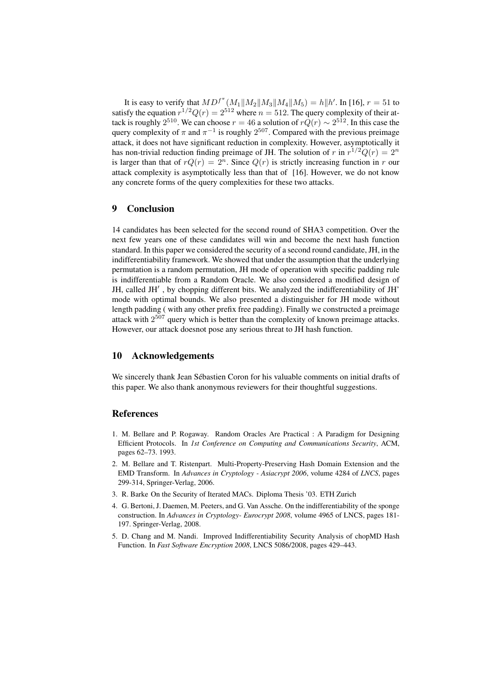It is easy to verify that  $MD^{f^{\pi}}(M_1||M_2||M_3||M_4||M_5) = h||h'$ . In [16],  $r = 51$  to satisfy the equation  $r^{1/2}Q(r) = 2^{512}$  where  $n = 512$ . The query complexity of their attack is roughly  $2^{510}$ . We can choose  $r = 46$  a solution of  $rQ(r) \sim 2^{512}$ . In this case the query complexity of  $\pi$  and  $\pi^{-1}$  is roughly  $2^{507}$ . Compared with the previous preimage attack, it does not have significant reduction in complexity. However, asymptotically it has non-trivial reduction finding preimage of JH. The solution of r in  $r^{1/2}Q(r) = 2^n$ is larger than that of  $rQ(r) = 2<sup>n</sup>$ . Since  $Q(r)$  is strictly increasing function in r our attack complexity is asymptotically less than that of [16]. However, we do not know any concrete forms of the query complexities for these two attacks.

## 9 Conclusion

14 candidates has been selected for the second round of SHA3 competition. Over the next few years one of these candidates will win and become the next hash function standard. In this paper we considered the security of a second round candidate, JH, in the indifferentiability framework. We showed that under the assumption that the underlying permutation is a random permutation, JH mode of operation with specific padding rule is indifferentiable from a Random Oracle. We also considered a modified design of JH, called JH', by chopping different bits. We analyzed the indifferentiability of JH' mode with optimal bounds. We also presented a distinguisher for JH mode without length padding ( with any other prefix free padding). Finally we constructed a preimage attack with  $2^{507}$  query which is better than the complexity of known preimage attacks. However, our attack doesnot pose any serious threat to JH hash function.

#### 10 Acknowledgements

We sincerely thank Jean Sébastien Coron for his valuable comments on initial drafts of this paper. We also thank anonymous reviewers for their thoughtful suggestions.

## **References**

- 1. M. Bellare and P. Rogaway. Random Oracles Are Practical : A Paradigm for Designing Efficient Protocols. In *1st Conference on Computing and Communications Security*, ACM, pages 62–73. 1993.
- 2. M. Bellare and T. Ristenpart. Multi-Property-Preserving Hash Domain Extension and the EMD Transform. In *Advances in Cryptology - Asiacrypt 2006*, volume 4284 of *LNCS*, pages 299-314, Springer-Verlag, 2006.
- 3. R. Barke On the Security of Iterated MACs. Diploma Thesis '03. ETH Zurich
- 4. G. Bertoni, J. Daemen, M. Peeters, and G. Van Assche. On the indifferentiability of the sponge construction. In *Advances in Cryptology- Eurocrypt 2008*, volume 4965 of LNCS, pages 181- 197. Springer-Verlag, 2008.
- 5. D. Chang and M. Nandi. Improved Indifferentiability Security Analysis of chopMD Hash Function. In *Fast Software Encryption 2008*, LNCS 5086/2008, pages 429–443.